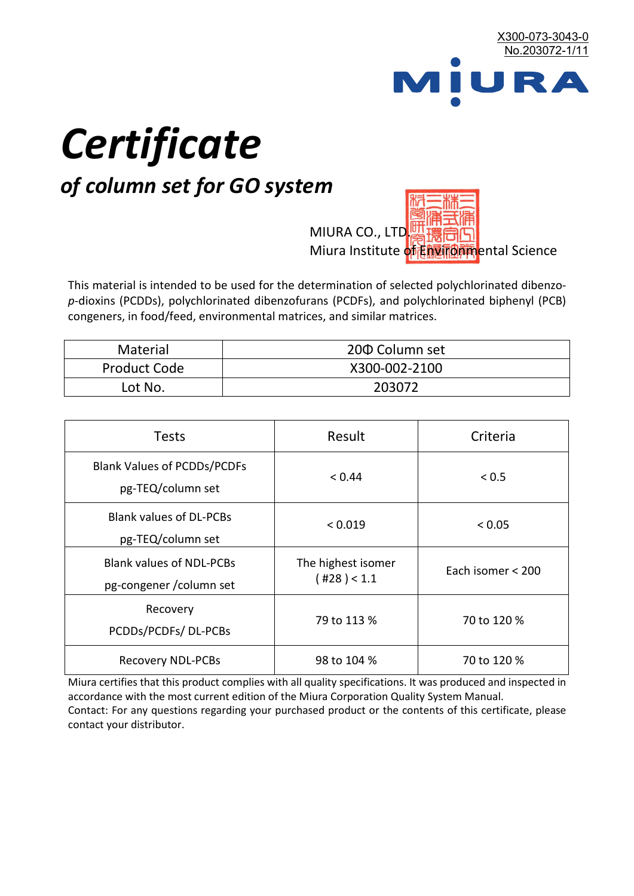

# *Certificate*

## *of column set for GO system*

MIURA CO., LTD. Miura Institute of 正版而解ental Science

This material is intended to be used for the determination of selected polychlorinated dibenzo*p*-dioxins (PCDDs), polychlorinated dibenzofurans (PCDFs), and polychlorinated biphenyl (PCB) congeners, in food/feed, environmental matrices, and similar matrices.

| Material            | 200 Column set |
|---------------------|----------------|
| <b>Product Code</b> | X300-002-2100  |
| Lot No.             | 203072         |

| <b>Tests</b>                                                | Result                            | Criteria          |
|-------------------------------------------------------------|-----------------------------------|-------------------|
| <b>Blank Values of PCDDs/PCDFs</b><br>pg-TEQ/column set     | < 0.44                            | < 0.5             |
| <b>Blank values of DL-PCBs</b><br>pg-TEQ/column set         | < 0.019                           | < 0.05            |
| <b>Blank values of NDL-PCBs</b><br>pg-congener / column set | The highest isomer<br>(428) < 1.1 | Each isomer < 200 |
| Recovery<br>PCDDs/PCDFs/DL-PCBs                             | 79 to 113 %                       | 70 to 120 %       |
| <b>Recovery NDL-PCBs</b>                                    | 98 to 104 %                       | 70 to 120 %       |

Miura certifies that this product complies with all quality specifications. It was produced and inspected in accordance with the most current edition of the Miura Corporation Quality System Manual. Contact: For any questions regarding your purchased product or the contents of this certificate, please contact your distributor.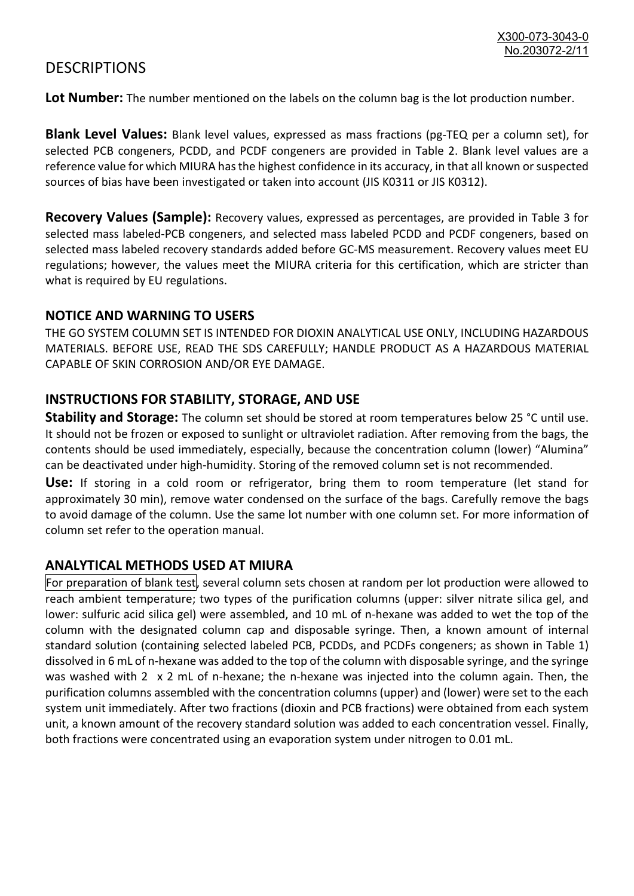### **DESCRIPTIONS**

**Lot Number:** The number mentioned on the labels on the column bag is the lot production number.

**Blank Level Values:** Blank level values, expressed as mass fractions (pg-TEQ per a column set), for selected PCB congeners, PCDD, and PCDF congeners are provided in Table 2. Blank level values are a reference value for which MIURA has the highest confidence in its accuracy, in that all known or suspected sources of bias have been investigated or taken into account (JIS K0311 or JIS K0312).

**Recovery Values (Sample):** Recovery values, expressed as percentages, are provided in Table 3 for selected mass labeled-PCB congeners, and selected mass labeled PCDD and PCDF congeners, based on selected mass labeled recovery standards added before GC-MS measurement. Recovery values meet EU regulations; however, the values meet the MIURA criteria for this certification, which are stricter than what is required by EU regulations.

#### **NOTICE AND WARNING TO USERS**

THE GO SYSTEM COLUMN SET IS INTENDED FOR DIOXIN ANALYTICAL USE ONLY, INCLUDING HAZARDOUS MATERIALS. BEFORE USE, READ THE SDS CAREFULLY; HANDLE PRODUCT AS A HAZARDOUS MATERIAL CAPABLE OF SKIN CORROSION AND/OR EYE DAMAGE.

#### **INSTRUCTIONS FOR STABILITY, STORAGE, AND USE**

**Stability and Storage:** The column set should be stored at room temperatures below 25 °C until use. It should not be frozen or exposed to sunlight or ultraviolet radiation. After removing from the bags, the contents should be used immediately, especially, because the concentration column (lower) "Alumina" can be deactivated under high-humidity. Storing of the removed column set is not recommended.

**Use:** If storing in a cold room or refrigerator, bring them to room temperature (let stand for approximately 30 min), remove water condensed on the surface of the bags. Carefully remove the bags to avoid damage of the column. Use the same lot number with one column set. For more information of column set refer to the operation manual.

#### **ANALYTICAL METHODS USED AT MIURA**

For preparation of blank test, several column sets chosen at random per lot production were allowed to reach ambient temperature; two types of the purification columns (upper: silver nitrate silica gel, and lower: sulfuric acid silica gel) were assembled, and 10 mL of n-hexane was added to wet the top of the column with the designated column cap and disposable syringe. Then, a known amount of internal standard solution (containing selected labeled PCB, PCDDs, and PCDFs congeners; as shown in Table 1) dissolved in 6 mL of n-hexane was added to the top of the column with disposable syringe, and the syringe was washed with 2 x 2 mL of n-hexane; the n-hexane was injected into the column again. Then, the purification columns assembled with the concentration columns (upper) and (lower) were set to the each system unit immediately. After two fractions (dioxin and PCB fractions) were obtained from each system unit, a known amount of the recovery standard solution was added to each concentration vessel. Finally, both fractions were concentrated using an evaporation system under nitrogen to 0.01 mL.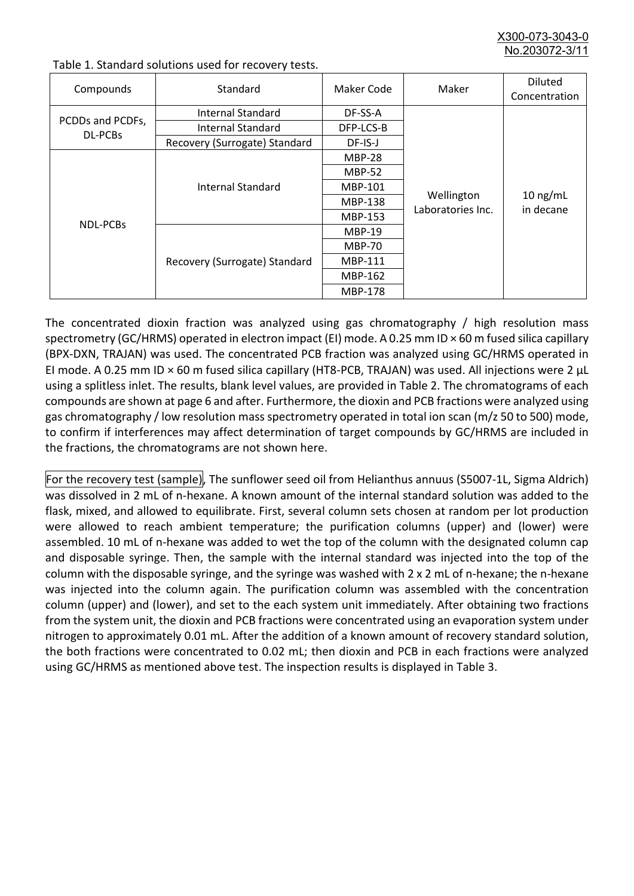X300-073-3043-0 No.203072-3/

| Compounds                          | Standard                              | Maker Code     | Maker                           | <b>Diluted</b><br>Concentration |
|------------------------------------|---------------------------------------|----------------|---------------------------------|---------------------------------|
| PCDDs and PCDFs,<br><b>DL-PCBs</b> | Internal Standard                     | DF-SS-A        |                                 |                                 |
|                                    | <b>Internal Standard</b><br>DFP-LCS-B |                |                                 |                                 |
|                                    | Recovery (Surrogate) Standard         | DF-IS-J        | Wellington<br>Laboratories Inc. | $10$ ng/mL<br>in decane         |
| <b>NDL-PCBs</b>                    | Internal Standard                     | <b>MBP-28</b>  |                                 |                                 |
|                                    |                                       | <b>MBP-52</b>  |                                 |                                 |
|                                    |                                       | MBP-101        |                                 |                                 |
|                                    |                                       | <b>MBP-138</b> |                                 |                                 |
|                                    |                                       | MBP-153        |                                 |                                 |
|                                    | Recovery (Surrogate) Standard         | <b>MBP-19</b>  |                                 |                                 |
|                                    |                                       | <b>MBP-70</b>  |                                 |                                 |
|                                    |                                       | <b>MBP-111</b> |                                 |                                 |
|                                    |                                       | MBP-162        |                                 |                                 |
|                                    |                                       | <b>MBP-178</b> |                                 |                                 |

Table 1. Standard solutions used for recovery tests.

The concentrated dioxin fraction was analyzed using gas chromatography / high resolution mass spectrometry (GC/HRMS) operated in electron impact (EI) mode. A 0.25 mm ID × 60 m fused silica capillary (BPX-DXN, TRAJAN) was used. The concentrated PCB fraction was analyzed using GC/HRMS operated in EI mode. A 0.25 mm ID × 60 m fused silica capillary (HT8-PCB, TRAJAN) was used. All injections were 2 μL using a splitless inlet. The results, blank level values, are provided in Table 2. The chromatograms of each compounds are shown at page 6 and after. Furthermore, the dioxin and PCB fractions were analyzed using gas chromatography / low resolution mass spectrometry operated in total ion scan (m/z 50 to 500) mode, to confirm if interferences may affect determination of target compounds by GC/HRMS are included in the fractions, the chromatograms are not shown here.

For the recovery test (sample), The sunflower seed oil from Helianthus annuus (S5007-1L, Sigma Aldrich) was dissolved in 2 mL of n-hexane. A known amount of the internal standard solution was added to the flask, mixed, and allowed to equilibrate. First, several column sets chosen at random per lot production were allowed to reach ambient temperature; the purification columns (upper) and (lower) were assembled. 10 mL of n-hexane was added to wet the top of the column with the designated column cap and disposable syringe. Then, the sample with the internal standard was injected into the top of the column with the disposable syringe, and the syringe was washed with 2 x 2 mL of n-hexane; the n-hexane was injected into the column again. The purification column was assembled with the concentration column (upper) and (lower), and set to the each system unit immediately. After obtaining two fractions from the system unit, the dioxin and PCB fractions were concentrated using an evaporation system under nitrogen to approximately 0.01 mL. After the addition of a known amount of recovery standard solution, the both fractions were concentrated to 0.02 mL; then dioxin and PCB in each fractions were analyzed using GC/HRMS as mentioned above test. The inspection results is displayed in Table 3.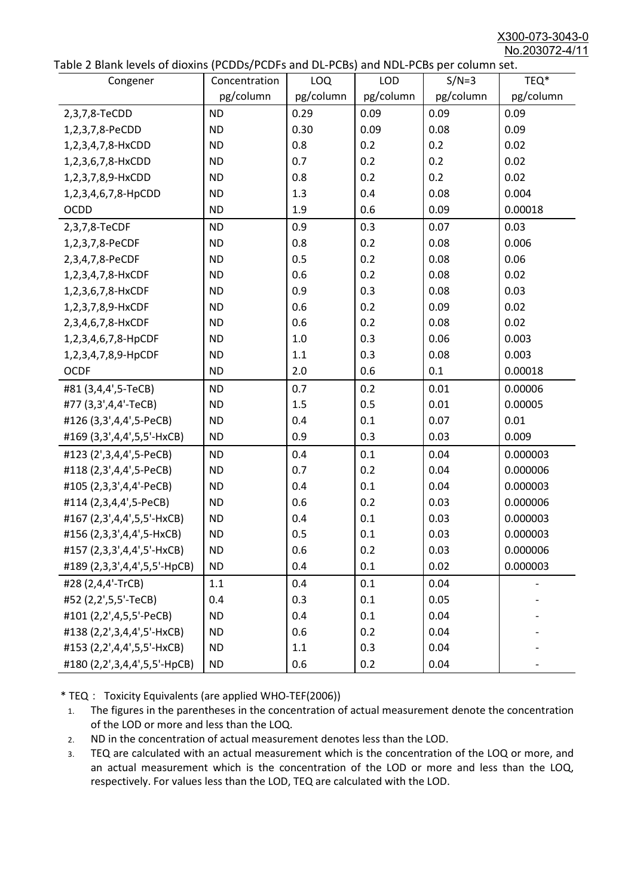X300-073-3043-0 No.203072-4/11

|  | Table 2 Blank levels of dioxins (PCDDs/PCDFs and DL-PCBs) and NDL-PCBs per column set. |
|--|----------------------------------------------------------------------------------------|
|--|----------------------------------------------------------------------------------------|

| abic 2 Diarik icveis of dioxins (I CDD3/TCDTs and DET CD3/ and NDET CD3 pcr column sett.<br>Congener | Concentration | LOQ       | <b>LOD</b> | $S/N=3$   | TEQ*      |
|------------------------------------------------------------------------------------------------------|---------------|-----------|------------|-----------|-----------|
|                                                                                                      | pg/column     | pg/column | pg/column  | pg/column | pg/column |
| 2,3,7,8-TeCDD                                                                                        | <b>ND</b>     | 0.29      | 0.09       | 0.09      | 0.09      |
| 1,2,3,7,8-PeCDD                                                                                      | <b>ND</b>     | 0.30      | 0.09       | 0.08      | 0.09      |
| 1,2,3,4,7,8-HxCDD                                                                                    | <b>ND</b>     | 0.8       | 0.2        | 0.2       | 0.02      |
| 1,2,3,6,7,8-HxCDD                                                                                    | <b>ND</b>     | 0.7       | 0.2        | 0.2       | 0.02      |
| 1,2,3,7,8,9-HxCDD                                                                                    | <b>ND</b>     | 0.8       | 0.2        | 0.2       | 0.02      |
| 1,2,3,4,6,7,8-HpCDD                                                                                  | <b>ND</b>     | 1.3       | 0.4        | 0.08      | 0.004     |
| <b>OCDD</b>                                                                                          | <b>ND</b>     | 1.9       | 0.6        | 0.09      | 0.00018   |
| 2,3,7,8-TeCDF                                                                                        | <b>ND</b>     | 0.9       | 0.3        | 0.07      | 0.03      |
| 1,2,3,7,8-PeCDF                                                                                      | <b>ND</b>     | 0.8       | 0.2        | 0.08      | 0.006     |
| 2,3,4,7,8-PeCDF                                                                                      | <b>ND</b>     | 0.5       | 0.2        | 0.08      | 0.06      |
| 1,2,3,4,7,8-HxCDF                                                                                    | <b>ND</b>     | 0.6       | 0.2        | 0.08      | 0.02      |
| 1,2,3,6,7,8-HxCDF                                                                                    | <b>ND</b>     | 0.9       | 0.3        | 0.08      | 0.03      |
| 1,2,3,7,8,9-HxCDF                                                                                    | <b>ND</b>     | 0.6       | 0.2        | 0.09      | 0.02      |
| 2,3,4,6,7,8-HxCDF                                                                                    | <b>ND</b>     | 0.6       | 0.2        | 0.08      | 0.02      |
| 1,2,3,4,6,7,8-HpCDF                                                                                  | <b>ND</b>     | 1.0       | 0.3        | 0.06      | 0.003     |
| 1,2,3,4,7,8,9-HpCDF                                                                                  | <b>ND</b>     | 1.1       | 0.3        | 0.08      | 0.003     |
| <b>OCDF</b>                                                                                          | <b>ND</b>     | 2.0       | 0.6        | 0.1       | 0.00018   |
| #81 (3,4,4',5-TeCB)                                                                                  | <b>ND</b>     | 0.7       | 0.2        | 0.01      | 0.00006   |
| #77 (3,3',4,4'-TeCB)                                                                                 | <b>ND</b>     | 1.5       | 0.5        | 0.01      | 0.00005   |
| #126 (3,3',4,4',5-PeCB)                                                                              | <b>ND</b>     | 0.4       | 0.1        | 0.07      | 0.01      |
| #169 (3,3',4,4',5,5'-HxCB)                                                                           | <b>ND</b>     | 0.9       | 0.3        | 0.03      | 0.009     |
| #123 (2',3,4,4',5-PeCB)                                                                              | <b>ND</b>     | 0.4       | 0.1        | 0.04      | 0.000003  |
| #118 (2,3',4,4',5-PeCB)                                                                              | <b>ND</b>     | 0.7       | 0.2        | 0.04      | 0.000006  |
| #105 (2,3,3',4,4'-PeCB)                                                                              | <b>ND</b>     | 0.4       | 0.1        | 0.04      | 0.000003  |
| #114 (2,3,4,4',5-PeCB)                                                                               | <b>ND</b>     | 0.6       | 0.2        | 0.03      | 0.000006  |
| #167 (2,3',4,4',5,5'-HxCB)                                                                           | <b>ND</b>     | 0.4       | 0.1        | 0.03      | 0.000003  |
| #156 (2,3,3',4,4',5-HxCB)                                                                            | <b>ND</b>     | 0.5       | 0.1        | 0.03      | 0.000003  |
| #157 (2,3,3',4,4',5'-HxCB)                                                                           | <b>ND</b>     | 0.6       | 0.2        | 0.03      | 0.000006  |
| #189 (2,3,3',4,4',5,5'-HpCB)                                                                         | <b>ND</b>     | 0.4       | 0.1        | 0.02      | 0.000003  |
| #28 (2,4,4'-TrCB)                                                                                    | 1.1           | 0.4       | 0.1        | 0.04      |           |
| #52 (2,2',5,5'-TeCB)                                                                                 | 0.4           | 0.3       | 0.1        | 0.05      |           |
| #101 (2,2',4,5,5'-PeCB)                                                                              | <b>ND</b>     | 0.4       | 0.1        | 0.04      |           |
| #138 (2,2',3,4,4',5'-HxCB)                                                                           | <b>ND</b>     | 0.6       | 0.2        | 0.04      |           |
| #153 (2,2',4,4',5,5'-HxCB)                                                                           | <b>ND</b>     | 1.1       | 0.3        | 0.04      |           |
| #180 (2,2',3,4,4',5,5'-HpCB)                                                                         | <b>ND</b>     | 0.6       | 0.2        | 0.04      |           |

\* TEQ: Toxicity Equivalents (are applied WHO-TEF(2006))

- 1. The figures in the parentheses in the concentration of actual measurement denote the concentration of the LOD or more and less than the LOQ.
- 2. ND in the concentration of actual measurement denotes less than the LOD.
- 3. TEQ are calculated with an actual measurement which is the concentration of the LOQ or more, and an actual measurement which is the concentration of the LOD or more and less than the LOQ, respectively. For values less than the LOD, TEQ are calculated with the LOD.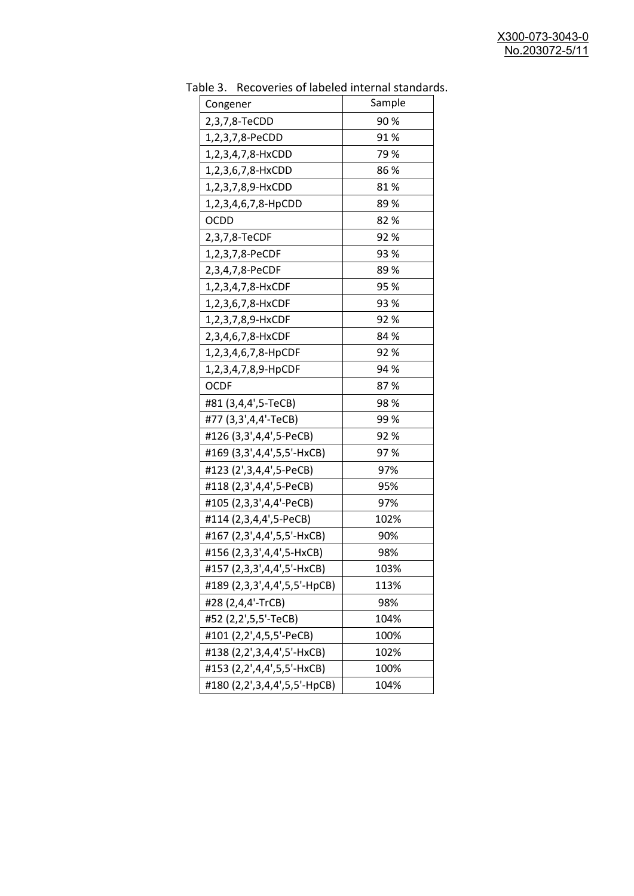| Congener                     | <u>RECOVERTS OF RIDERS INTERNITION STATIONS</u><br>Sample |
|------------------------------|-----------------------------------------------------------|
| 2,3,7,8-TeCDD                | 90%                                                       |
| 1,2,3,7,8-PeCDD              | 91%                                                       |
| 1,2,3,4,7,8-HxCDD            | 79 %                                                      |
| 1,2,3,6,7,8-HxCDD            | 86%                                                       |
|                              | 81%                                                       |
| 1,2,3,7,8,9-HxCDD            | 89%                                                       |
| 1,2,3,4,6,7,8-HpCDD          | 82%                                                       |
| <b>OCDD</b>                  |                                                           |
| 2,3,7,8-TeCDF                | 92%                                                       |
| 1,2,3,7,8-PeCDF              | 93 %                                                      |
| 2,3,4,7,8-PeCDF              | 89%                                                       |
| 1,2,3,4,7,8-HxCDF            | 95 %                                                      |
| 1,2,3,6,7,8-HxCDF            | 93 %                                                      |
| 1,2,3,7,8,9-HxCDF            | 92%                                                       |
| 2,3,4,6,7,8-HxCDF            | 84 %                                                      |
| 1,2,3,4,6,7,8-HpCDF          | 92%                                                       |
| 1,2,3,4,7,8,9-HpCDF          | 94 %                                                      |
| <b>OCDF</b>                  | 87%                                                       |
| #81 (3,4,4',5-TeCB)          | 98%                                                       |
| #77 (3,3',4,4'-TeCB)         | 99 %                                                      |
| #126 (3,3',4,4',5-PeCB)      | 92%                                                       |
| #169 (3,3',4,4',5,5'-HxCB)   | 97%                                                       |
| #123 (2',3,4,4',5-PeCB)      | 97%                                                       |
| #118 (2,3',4,4',5-PeCB)      | 95%                                                       |
| #105 (2,3,3',4,4'-PeCB)      | 97%                                                       |
| #114 (2,3,4,4',5-PeCB)       | 102%                                                      |
| #167 (2,3',4,4',5,5'-HxCB)   | 90%                                                       |
| #156 (2,3,3',4,4',5-HxCB)    | 98%                                                       |
| #157 (2,3,3',4,4',5'-HxCB)   | 103%                                                      |
| #189 (2,3,3',4,4',5,5'-HpCB) | 113%                                                      |
| #28 (2,4,4'-TrCB)            | 98%                                                       |
| #52 (2,2',5,5'-TeCB)         | 104%                                                      |
| #101 (2,2',4,5,5'-PeCB)      | 100%                                                      |
| #138 (2,2',3,4,4',5'-HxCB)   | 102%                                                      |
| #153 (2,2',4,4',5,5'-HxCB)   | 100%                                                      |
| #180 (2,2',3,4,4',5,5'-HpCB) | 104%                                                      |

Table 3. Recoveries of labeled internal standards.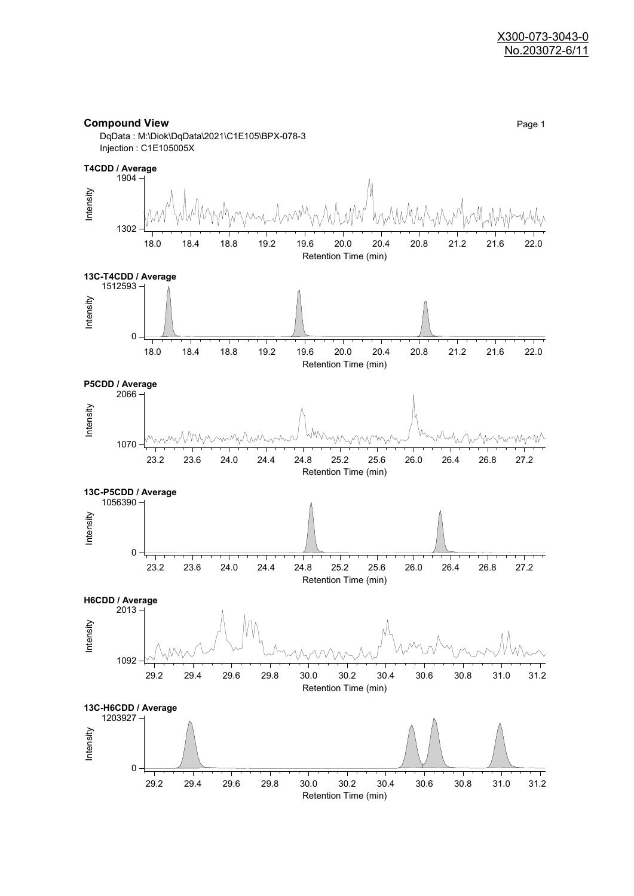

DqData : M:\Diok\DqData\2021\C1E105\BPX-078-3 Injection : C1E105005X

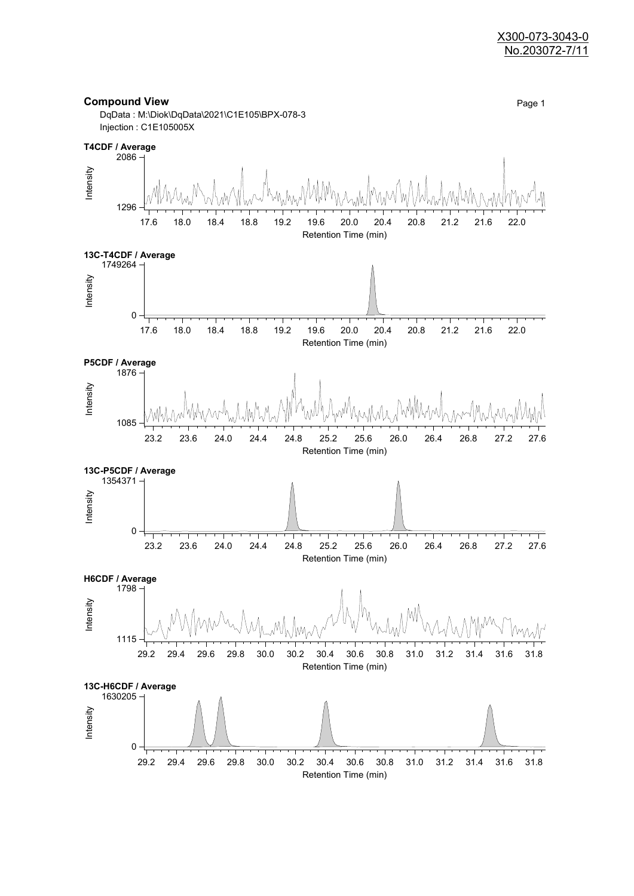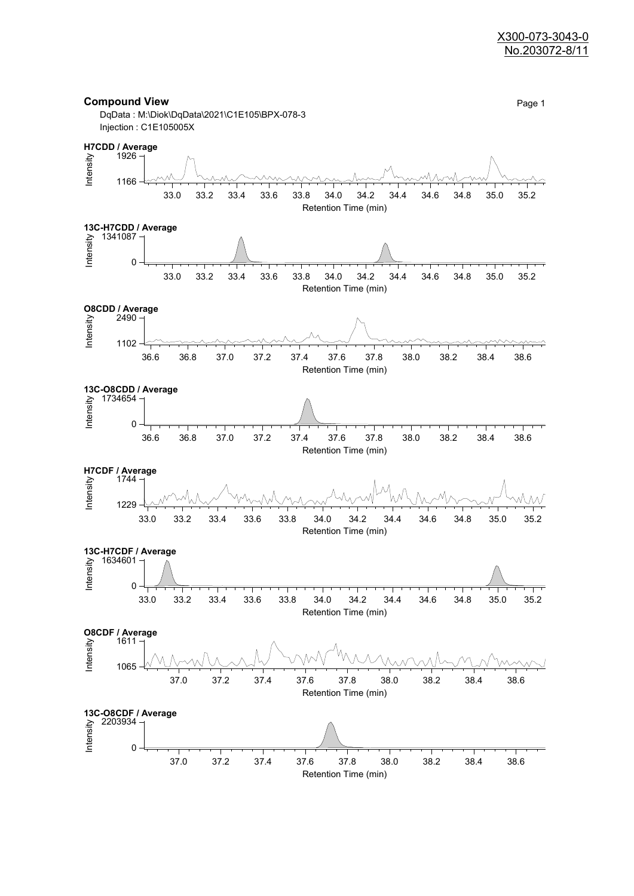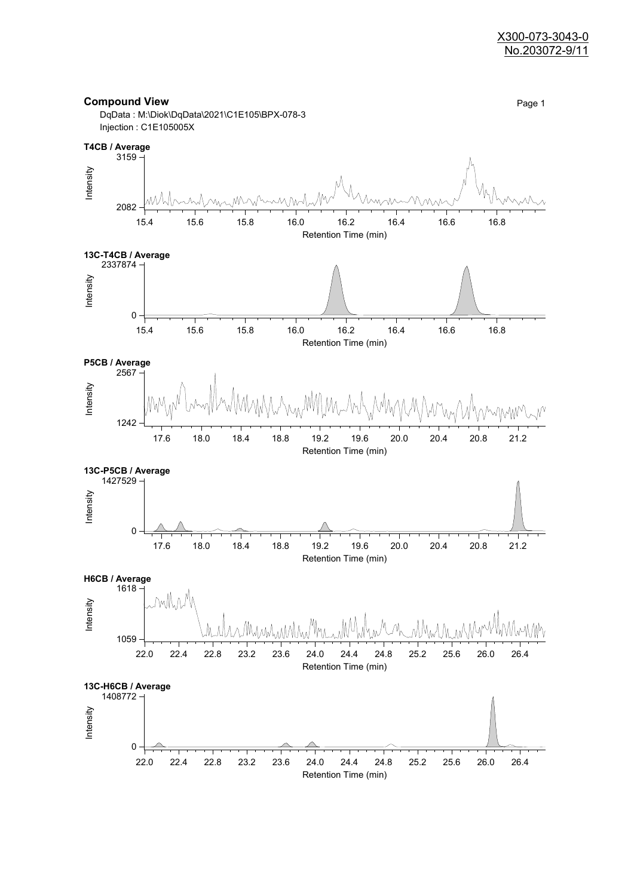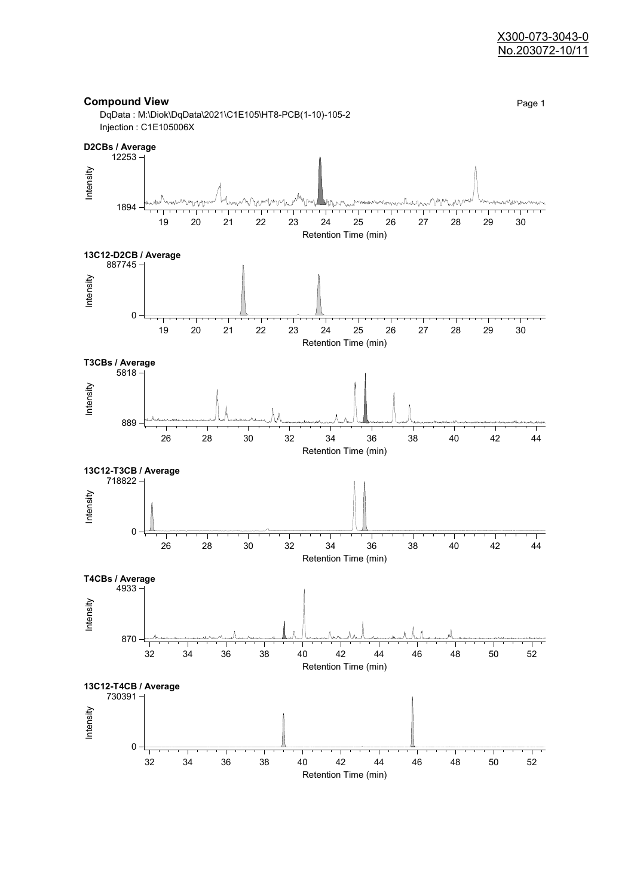